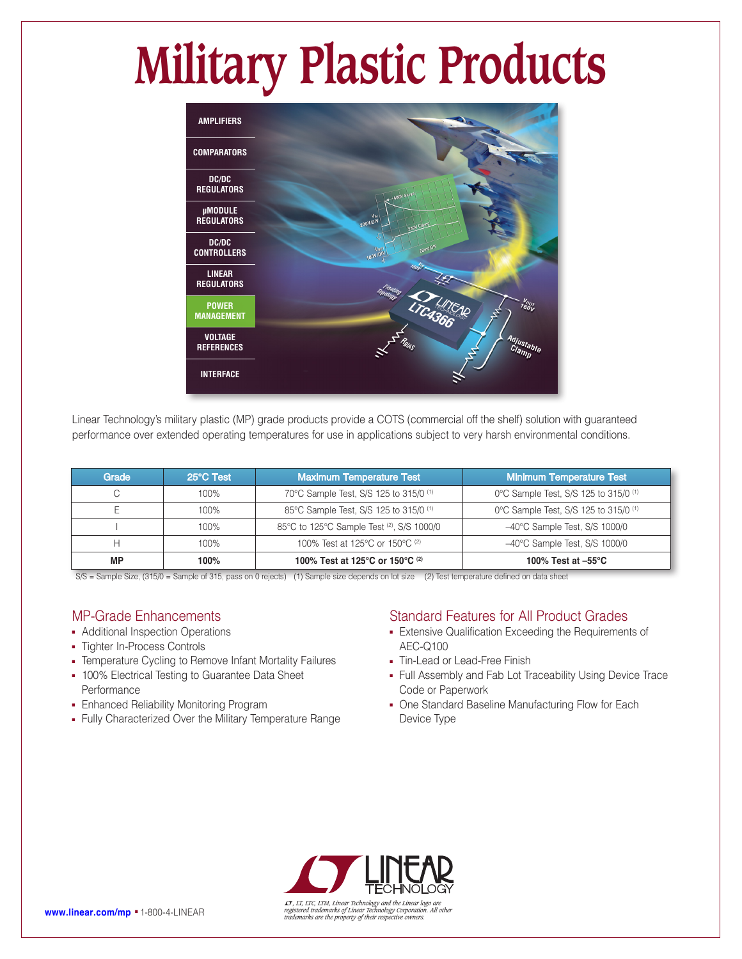# **Military Plastic Products**



Linear Technology's military plastic (MP) grade products provide a COTS (commercial off the shelf) solution with guaranteed performance over extended operating temperatures for use in applications subject to very harsh environmental conditions.

| Grade | 25°C Test | <b>Maximum Temperature Test</b>                   | Minimum Temperature Test                         |  |
|-------|-----------|---------------------------------------------------|--------------------------------------------------|--|
|       | $100\%$   | 70°C Sample Test, S/S 125 to 315/0 <sup>(1)</sup> | 0°C Sample Test, S/S 125 to 315/0 <sup>(1)</sup> |  |
|       | 100%      | 85°C Sample Test, S/S 125 to 315/0 <sup>(1)</sup> | 0°C Sample Test, S/S 125 to 315/0 <sup>(1)</sup> |  |
|       | 100%      | 85°C to 125°C Sample Test (2), S/S 1000/0         | $-40^{\circ}$ C Sample Test, S/S 1000/0          |  |
|       | 100%      | 100% Test at 125°C or 150°C (2)                   | $-40^{\circ}$ C Sample Test, S/S 1000/0          |  |
| MP    | 100%      | 100% Test at 125°C or 150°C (2)                   | 100% Test at $-55^{\circ}$ C                     |  |

S/S = Sample Size, (315/0 = Sample of 315, pass on 0 rejects) (1) Sample size depends on lot size (2) Test temperature defined on data sheet

### MP-Grade Enhancements

- Additional Inspection Operations
- Tighter In-Process Controls
- Temperature Cycling to Remove Infant Mortality Failures
- 100% Electrical Testing to Guarantee Data Sheet **Performance**
- **Enhanced Reliability Monitoring Program**
- <sup>n</sup> Fully Characterized Over the Military Temperature Range

### Standard Features for All Product Grades

- **Extensive Qualification Exceeding the Requirements of** AEC-Q100
- Tin-Lead or Lead-Free Finish
- Full Assembly and Fab Lot Traceability Using Device Trace Code or Paperwork
- One Standard Baseline Manufacturing Flow for Each Device Type



 $\sigma$ , LT, LTC, LTM, Linear Technology and the Linear logo are<br> **WWW.linear.com/mp = 1**-800-4-LINEAR<br>
rademarks are the property of their respective owners. All other